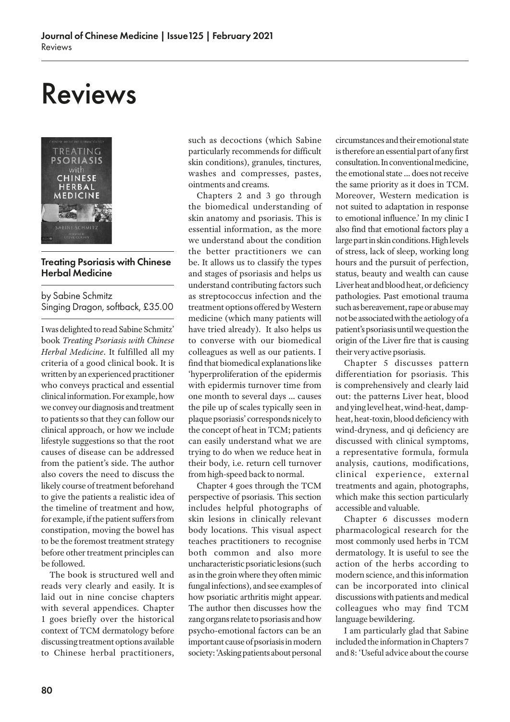# Reviews



## Treating Psoriasis with Chinese Herbal Medicine

by Sabine Schmitz Singing Dragon, softback, £35.00

I was delighted to read Sabine Schmitz' book *Treating Psoriasis with Chinese Herbal Medicine*. It fulfilled all my criteria of a good clinical book. It is written by an experienced practitioner who conveys practical and essential clinical information. For example, how we convey our diagnosis and treatment to patients so that they can follow our clinical approach, or how we include lifestyle suggestions so that the root causes of disease can be addressed from the patient's side. The author also covers the need to discuss the likely course of treatment beforehand to give the patients a realistic idea of the timeline of treatment and how, for example, if the patient suffers from constipation, moving the bowel has to be the foremost treatment strategy before other treatment principles can be followed.

The book is structured well and reads very clearly and easily. It is laid out in nine concise chapters with several appendices. Chapter 1 goes briefly over the historical context of TCM dermatology before discussing treatment options available to Chinese herbal practitioners, such as decoctions (which Sabine particularly recommends for difficult skin conditions), granules, tinctures, washes and compresses, pastes, ointments and creams.

Chapters 2 and 3 go through the biomedical understanding of skin anatomy and psoriasis. This is essential information, as the more we understand about the condition the better practitioners we can be. It allows us to classify the types and stages of psoriasis and helps us understand contributing factors such as streptococcus infection and the treatment options offered by Western medicine (which many patients will have tried already). It also helps us to converse with our biomedical colleagues as well as our patients. I find that biomedical explanations like 'hyperproliferation of the epidermis with epidermis turnover time from one month to several days … causes the pile up of scales typically seen in plaque psoriasis' corresponds nicely to the concept of heat in TCM; patients can easily understand what we are trying to do when we reduce heat in their body, i.e. return cell turnover from high-speed back to normal.

Chapter 4 goes through the TCM perspective of psoriasis. This section includes helpful photographs of skin lesions in clinically relevant body locations. This visual aspect teaches practitioners to recognise both common and also more uncharacteristic psoriatic lesions (such as in the groin where they often mimic fungal infections), and see examples of how psoriatic arthritis might appear. The author then discusses how the zang organs relate to psoriasis and how psycho-emotional factors can be an important cause of psoriasis in modern society: 'Asking patients about personal

circumstances and their emotional state is therefore an essential part of any first consultation. In conventional medicine, the emotional state … does not receive the same priority as it does in TCM. Moreover, Western medication is not suited to adaptation in response to emotional influence.' In my clinic I also find that emotional factors play a large part in skin conditions. High levels of stress, lack of sleep, working long hours and the pursuit of perfection, status, beauty and wealth can cause Liver heat and blood heat, or deficiency pathologies. Past emotional trauma such as bereavement, rape or abuse may not be associated with the aetiology of a patient's psoriasis until we question the origin of the Liver fire that is causing their very active psoriasis.

Chapter 5 discusses pattern differentiation for psoriasis. This is comprehensively and clearly laid out: the patterns Liver heat, blood and ying level heat, wind-heat, dampheat, heat-toxin, blood deficiency with wind-dryness, and qi deficiency are discussed with clinical symptoms, a representative formula, formula analysis, cautions, modifications, clinical experience, external treatments and again, photographs, which make this section particularly accessible and valuable.

Chapter 6 discusses modern pharmacological research for the most commonly used herbs in TCM dermatology. It is useful to see the action of the herbs according to modern science, and this information can be incorporated into clinical discussions with patients and medical colleagues who may find TCM language bewildering.

I am particularly glad that Sabine included the information in Chapters 7 and 8: 'Useful advice about the course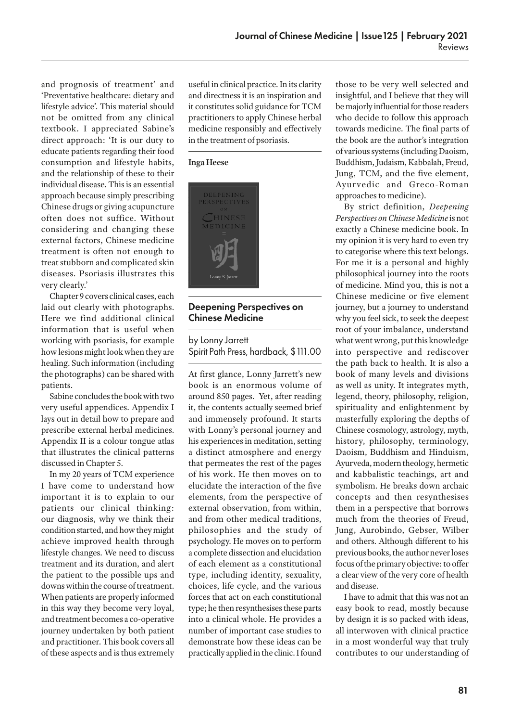and prognosis of treatment' and 'Preventative healthcare: dietary and lifestyle advice'. This material should not be omitted from any clinical textbook. I appreciated Sabine's direct approach: 'It is our duty to educate patients regarding their food consumption and lifestyle habits, and the relationship of these to their individual disease. This is an essential approach because simply prescribing Chinese drugs or giving acupuncture often does not suffice. Without considering and changing these external factors, Chinese medicine treatment is often not enough to treat stubborn and complicated skin diseases. Psoriasis illustrates this very clearly.'

Chapter 9 covers clinical cases, each laid out clearly with photographs. Here we find additional clinical information that is useful when working with psoriasis, for example how lesions might look when they are healing. Such information (including the photographs) can be shared with patients.

Sabine concludes the book with two very useful appendices. Appendix I lays out in detail how to prepare and prescribe external herbal medicines. Appendix II is a colour tongue atlas that illustrates the clinical patterns discussed in Chapter 5.

In my 20 years of TCM experience I have come to understand how important it is to explain to our patients our clinical thinking: our diagnosis, why we think their condition started, and how they might achieve improved health through lifestyle changes. We need to discuss treatment and its duration, and alert the patient to the possible ups and downs within the course of treatment. When patients are properly informed in this way they become very loyal, and treatment becomes a co-operative journey undertaken by both patient and practitioner. This book covers all of these aspects and is thus extremely useful in clinical practice. In its clarity and directness it is an inspiration and it constitutes solid guidance for TCM practitioners to apply Chinese herbal medicine responsibly and effectively in the treatment of psoriasis.

#### **Inga Heese**



## Deepening Perspectives on Chinese Medicine

by Lonny Jarrett Spirit Path Press, hardback, \$111.00

At first glance, Lonny Jarrett's new book is an enormous volume of around 850 pages. Yet, after reading it, the contents actually seemed brief and immensely profound. It starts with Lonny's personal journey and his experiences in meditation, setting a distinct atmosphere and energy that permeates the rest of the pages of his work. He then moves on to elucidate the interaction of the five elements, from the perspective of external observation, from within, and from other medical traditions, philosophies and the study of psychology. He moves on to perform a complete dissection and elucidation of each element as a constitutional type, including identity, sexuality, choices, life cycle, and the various forces that act on each constitutional type; he then resynthesises these parts into a clinical whole. He provides a number of important case studies to demonstrate how these ideas can be practically applied in the clinic. I found

those to be very well selected and insightful, and I believe that they will be majorly influential for those readers who decide to follow this approach towards medicine. The final parts of the book are the author's integration of various systems (including Daoism, Buddhism, Judaism, Kabbalah, Freud, Jung, TCM, and the five element, Ayur vedic and Greco-Roman approaches to medicine).

By strict definition, *Deepening Perspectives on Chinese Medicine* is not exactly a Chinese medicine book. In my opinion it is very hard to even try to categorise where this text belongs. For me it is a personal and highly philosophical journey into the roots of medicine. Mind you, this is not a Chinese medicine or five element journey, but a journey to understand why you feel sick, to seek the deepest root of your imbalance, understand what went wrong, put this knowledge into perspective and rediscover the path back to health. It is also a book of many levels and divisions as well as unity. It integrates myth, legend, theory, philosophy, religion, spirituality and enlightenment by masterfully exploring the depths of Chinese cosmology, astrology, myth, history, philosophy, terminology, Daoism, Buddhism and Hinduism, Ayurveda, modern theology, hermetic and kabbalistic teachings, art and symbolism. He breaks down archaic concepts and then resynthesises them in a perspective that borrows much from the theories of Freud, Jung, Aurobindo, Gebser, Wilber and others. Although different to his previous books, the author never loses focus of the primary objective: to offer a clear view of the very core of health and disease.

I have to admit that this was not an easy book to read, mostly because by design it is so packed with ideas, all interwoven with clinical practice in a most wonderful way that truly contributes to our understanding of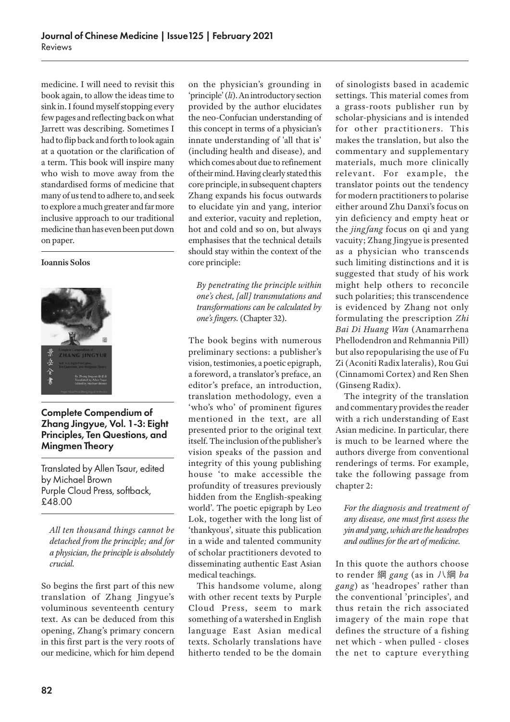medicine. I will need to revisit this book again, to allow the ideas time to sink in. I found myself stopping every few pages and reflecting back on what Jarrett was describing. Sometimes I had to flip back and forth to look again at a quotation or the clarification of a term. This book will inspire many who wish to move away from the standardised forms of medicine that many of us tend to adhere to, and seek to explore a much greater and far more inclusive approach to our traditional medicine than has even been put down on paper.

### **Ioannis Solos**



Complete Compendium of Zhang Jingyue, Vol. 1-3: Eight Principles, Ten Questions, and Mingmen Theory

Translated by Allen Tsaur, edited by Michael Brown Purple Cloud Press, softback, £48.00

*All ten thousand things cannot be detached from the principle; and for a physician, the principle is absolutely crucial.*

So begins the first part of this new translation of Zhang Jingyue's voluminous seventeenth century text. As can be deduced from this opening, Zhang's primary concern in this first part is the very roots of our medicine, which for him depend

on the physician's grounding in 'principle' (*li*). An introductory section provided by the author elucidates the neo-Confucian understanding of this concept in terms of a physician's innate understanding of 'all that is' (including health and disease), and which comes about due to refinement of their mind. Having clearly stated this core principle, in subsequent chapters Zhang expands his focus outwards to elucidate yin and yang, interior and exterior, vacuity and repletion, hot and cold and so on, but always emphasises that the technical details should stay within the context of the core principle:

*By penetrating the principle within one's chest, [all] transmutations and transformations can be calculated by one's fingers.* (Chapter 32).

The book begins with numerous preliminary sections: a publisher's vision, testimonies, a poetic epigraph, a foreword, a translator's preface, an editor's preface, an introduction, translation methodology, even a 'who's who' of prominent figures mentioned in the text, are all presented prior to the original text itself. The inclusion of the publisher's vision speaks of the passion and integrity of this young publishing house 'to make accessible the profundity of treasures previously hidden from the English-speaking world'. The poetic epigraph by Leo Lok, together with the long list of 'thankyous', situate this publication in a wide and talented community of scholar practitioners devoted to disseminating authentic East Asian medical teachings.

This handsome volume, along with other recent texts by Purple Cloud Press, seem to mark something of a watershed in English language East Asian medical texts. Scholarly translations have hitherto tended to be the domain

of sinologists based in academic settings. This material comes from a grass-roots publisher run by scholar-physicians and is intended for other practitioners. This makes the translation, but also the commentary and supplementary materials, much more clinically relevant. For example, the translator points out the tendency for modern practitioners to polarise either around Zhu Danxi's focus on yin deficiency and empty heat or the *jing fang* focus on qi and yang vacuity; Zhang Jingyue is presented as a physician who transcends such limiting distinctions and it is suggested that study of his work might help others to reconcile such polarities; this transcendence is evidenced by Zhang not only formulating the prescription *Zhi Bai Di Huang Wan* (Anamarrhena Phellodendron and Rehmannia Pill) but also repopularising the use of Fu Zi (Aconiti Radix lateralis), Rou Gui (Cinnamomi Cortex) and Ren Shen (Ginseng Radix).

The integrity of the translation and commentary provides the reader with a rich understanding of East Asian medicine. In particular, there is much to be learned where the authors diverge from conventional renderings of terms. For example, take the following passage from chapter 2:

*For the diagnosis and treatment of any disease, one must first assess the yin and yang, which are the headropes and outlines for the art of medicine.*

In this quote the authors choose to render 綱 *gang* (as in 八綱 *ba gang*) as 'headropes' rather than the conventional 'principles', and thus retain the rich associated imagery of the main rope that defines the structure of a fishing net which - when pulled - closes the net to capture everything